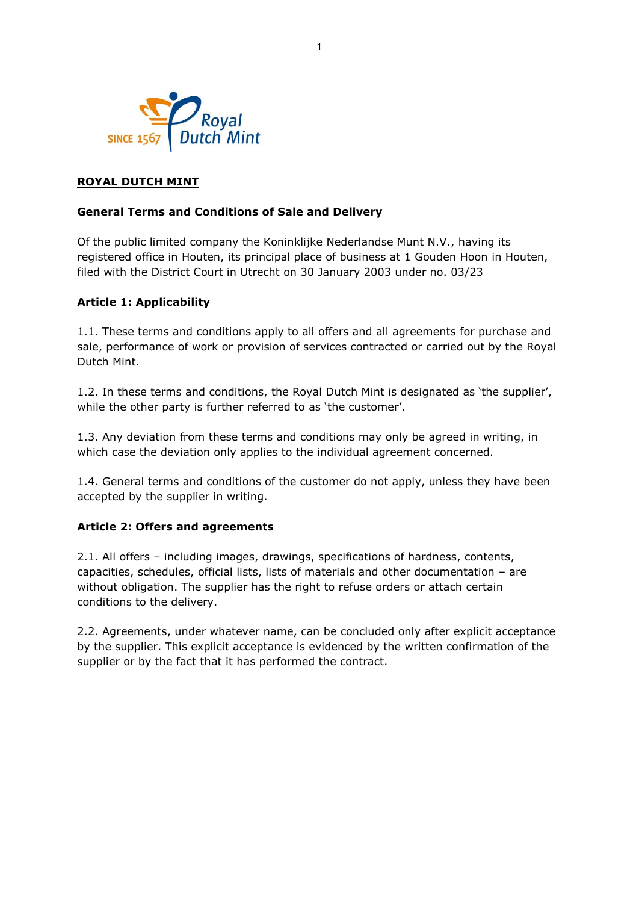

# **ROYAL DUTCH MINT**

#### **General Terms and Conditions of Sale and Delivery**

Of the public limited company the Koninklijke Nederlandse Munt N.V., having its registered office in Houten, its principal place of business at 1 Gouden Hoon in Houten, filed with the District Court in Utrecht on 30 January 2003 under no. 03/23

#### **Article 1: Applicability**

1.1. These terms and conditions apply to all offers and all agreements for purchase and sale, performance of work or provision of services contracted or carried out by the Royal Dutch Mint.

1.2. In these terms and conditions, the Royal Dutch Mint is designated as 'the supplier', while the other party is further referred to as 'the customer'.

1.3. Any deviation from these terms and conditions may only be agreed in writing, in which case the deviation only applies to the individual agreement concerned.

1.4. General terms and conditions of the customer do not apply, unless they have been accepted by the supplier in writing.

#### **Article 2: Offers and agreements**

2.1. All offers – including images, drawings, specifications of hardness, contents, capacities, schedules, official lists, lists of materials and other documentation – are without obligation. The supplier has the right to refuse orders or attach certain conditions to the delivery.

2.2. Agreements, under whatever name, can be concluded only after explicit acceptance by the supplier. This explicit acceptance is evidenced by the written confirmation of the supplier or by the fact that it has performed the contract.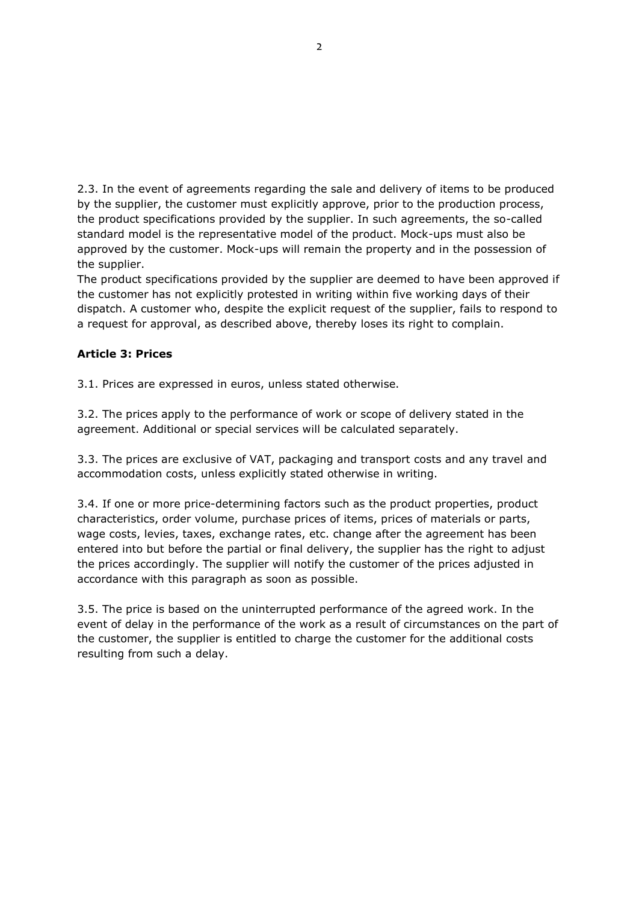2.3. In the event of agreements regarding the sale and delivery of items to be produced by the supplier, the customer must explicitly approve, prior to the production process, the product specifications provided by the supplier. In such agreements, the so-called standard model is the representative model of the product. Mock-ups must also be approved by the customer. Mock-ups will remain the property and in the possession of the supplier.

The product specifications provided by the supplier are deemed to have been approved if the customer has not explicitly protested in writing within five working days of their dispatch. A customer who, despite the explicit request of the supplier, fails to respond to a request for approval, as described above, thereby loses its right to complain.

## **Article 3: Prices**

3.1. Prices are expressed in euros, unless stated otherwise.

3.2. The prices apply to the performance of work or scope of delivery stated in the agreement. Additional or special services will be calculated separately.

3.3. The prices are exclusive of VAT, packaging and transport costs and any travel and accommodation costs, unless explicitly stated otherwise in writing.

3.4. If one or more price-determining factors such as the product properties, product characteristics, order volume, purchase prices of items, prices of materials or parts, wage costs, levies, taxes, exchange rates, etc. change after the agreement has been entered into but before the partial or final delivery, the supplier has the right to adjust the prices accordingly. The supplier will notify the customer of the prices adjusted in accordance with this paragraph as soon as possible.

3.5. The price is based on the uninterrupted performance of the agreed work. In the event of delay in the performance of the work as a result of circumstances on the part of the customer, the supplier is entitled to charge the customer for the additional costs resulting from such a delay.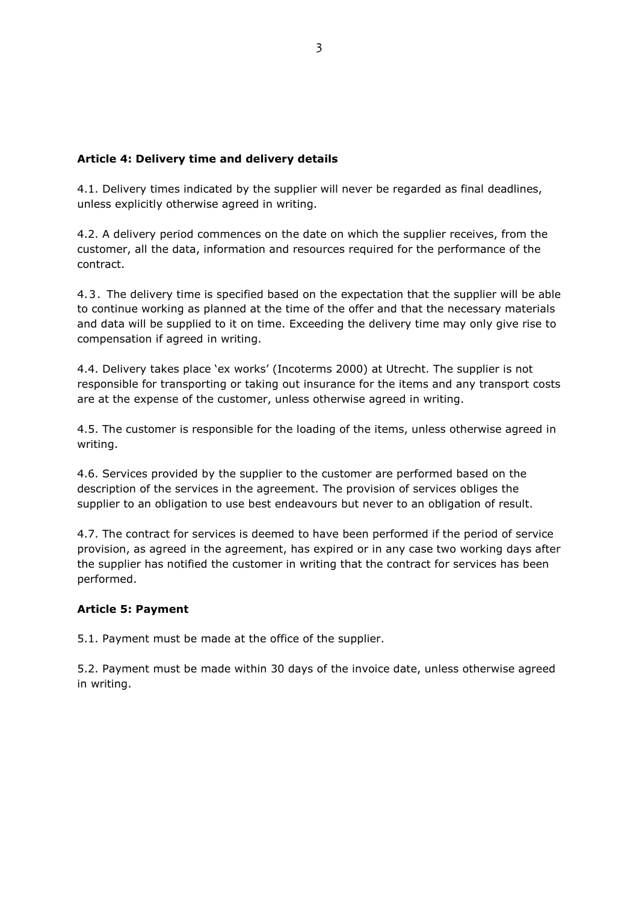## **Article 4: Delivery time and delivery details**

4.1. Delivery times indicated by the supplier will never be regarded as final deadlines, unless explicitly otherwise agreed in writing.

4.2. A delivery period commences on the date on which the supplier receives, from the customer, all the data, information and resources required for the performance of the contract.

4.3 . The delivery time is specified based on the expectation that the supplier will be able to continue working as planned at the time of the offer and that the necessary materials and data will be supplied to it on time. Exceeding the delivery time may only give rise to compensation if agreed in writing.

4.4. Delivery takes place 'ex works' (Incoterms 2000) at Utrecht. The supplier is not responsible for transporting or taking out insurance for the items and any transport costs are at the expense of the customer, unless otherwise agreed in writing.

4.5. The customer is responsible for the loading of the items, unless otherwise agreed in writing.

4.6. Services provided by the supplier to the customer are performed based on the description of the services in the agreement. The provision of services obliges the supplier to an obligation to use best endeavours but never to an obligation of result.

4.7. The contract for services is deemed to have been performed if the period of service provision, as agreed in the agreement, has expired or in any case two working days after the supplier has notified the customer in writing that the contract for services has been performed.

## **Article 5: Payment**

5.1. Payment must be made at the office of the supplier.

5.2. Payment must be made within 30 days of the invoice date, unless otherwise agreed in writing.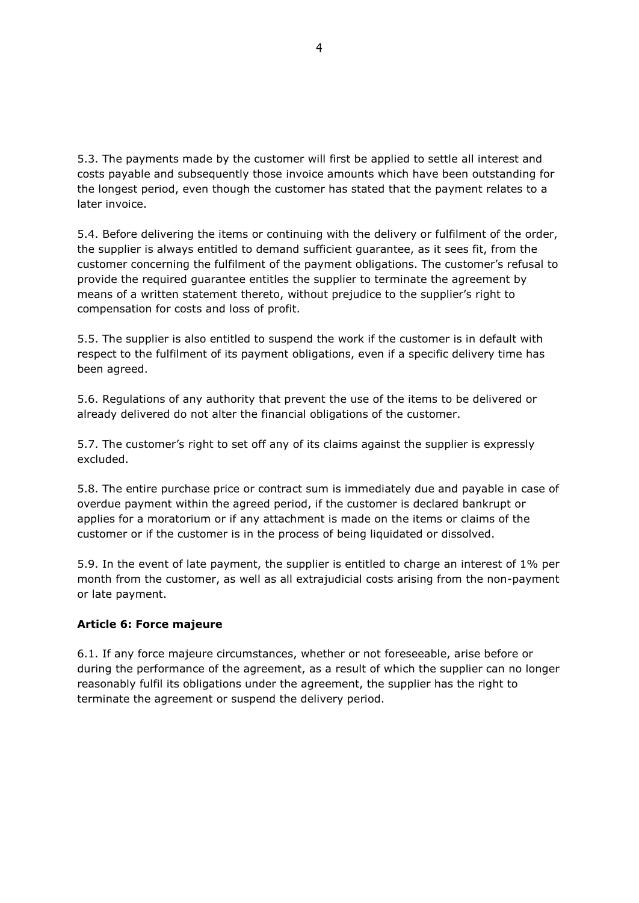5.3. The payments made by the customer will first be applied to settle all interest and costs payable and subsequently those invoice amounts which have been outstanding for the longest period, even though the customer has stated that the payment relates to a later invoice.

5.4. Before delivering the items or continuing with the delivery or fulfilment of the order, the supplier is always entitled to demand sufficient guarantee, as it sees fit, from the customer concerning the fulfilment of the payment obligations. The customer's refusal to provide the required guarantee entitles the supplier to terminate the agreement by means of a written statement thereto, without prejudice to the supplier's right to compensation for costs and loss of profit.

5.5. The supplier is also entitled to suspend the work if the customer is in default with respect to the fulfilment of its payment obligations, even if a specific delivery time has been agreed.

5.6. Regulations of any authority that prevent the use of the items to be delivered or already delivered do not alter the financial obligations of the customer.

5.7. The customer's right to set off any of its claims against the supplier is expressly excluded.

5.8. The entire purchase price or contract sum is immediately due and payable in case of overdue payment within the agreed period, if the customer is declared bankrupt or applies for a moratorium or if any attachment is made on the items or claims of the customer or if the customer is in the process of being liquidated or dissolved.

5.9. In the event of late payment, the supplier is entitled to charge an interest of 1% per month from the customer, as well as all extrajudicial costs arising from the non-payment or late payment.

#### **Article 6: Force majeure**

6.1. If any force majeure circumstances, whether or not foreseeable, arise before or during the performance of the agreement, as a result of which the supplier can no longer reasonably fulfil its obligations under the agreement, the supplier has the right to terminate the agreement or suspend the delivery period.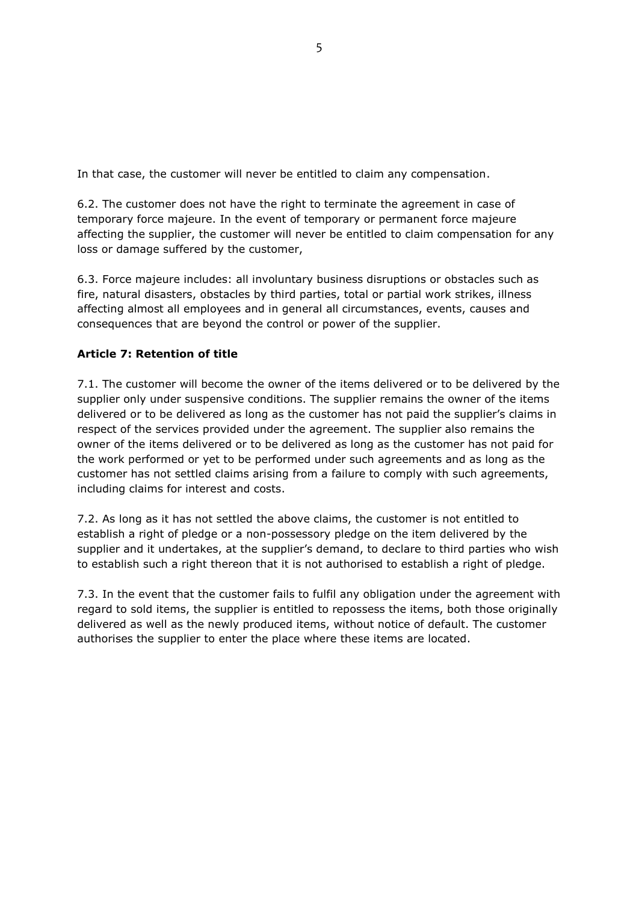In that case, the customer will never be entitled to claim any compensation.

6.2. The customer does not have the right to terminate the agreement in case of temporary force majeure. In the event of temporary or permanent force majeure affecting the supplier, the customer will never be entitled to claim compensation for any loss or damage suffered by the customer,

6.3. Force majeure includes: all involuntary business disruptions or obstacles such as fire, natural disasters, obstacles by third parties, total or partial work strikes, illness affecting almost all employees and in general all circumstances, events, causes and consequences that are beyond the control or power of the supplier.

# **Article 7: Retention of title**

7.1. The customer will become the owner of the items delivered or to be delivered by the supplier only under suspensive conditions. The supplier remains the owner of the items delivered or to be delivered as long as the customer has not paid the supplier's claims in respect of the services provided under the agreement. The supplier also remains the owner of the items delivered or to be delivered as long as the customer has not paid for the work performed or yet to be performed under such agreements and as long as the customer has not settled claims arising from a failure to comply with such agreements, including claims for interest and costs.

7.2. As long as it has not settled the above claims, the customer is not entitled to establish a right of pledge or a non-possessory pledge on the item delivered by the supplier and it undertakes, at the supplier's demand, to declare to third parties who wish to establish such a right thereon that it is not authorised to establish a right of pledge.

7.3. In the event that the customer fails to fulfil any obligation under the agreement with regard to sold items, the supplier is entitled to repossess the items, both those originally delivered as well as the newly produced items, without notice of default. The customer authorises the supplier to enter the place where these items are located.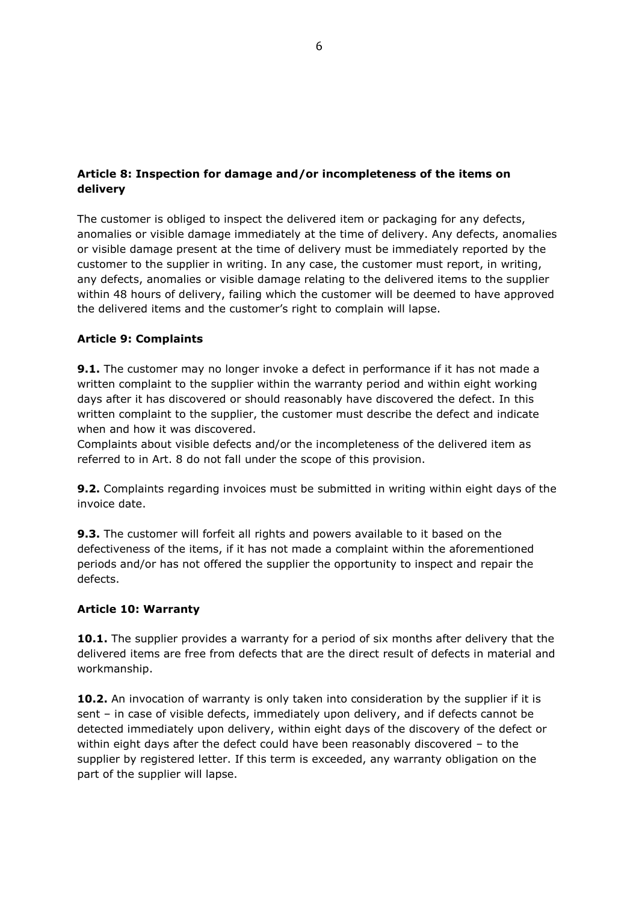# **Article 8: Inspection for damage and/or incompleteness of the items on delivery**

The customer is obliged to inspect the delivered item or packaging for any defects, anomalies or visible damage immediately at the time of delivery. Any defects, anomalies or visible damage present at the time of delivery must be immediately reported by the customer to the supplier in writing. In any case, the customer must report, in writing, any defects, anomalies or visible damage relating to the delivered items to the supplier within 48 hours of delivery, failing which the customer will be deemed to have approved the delivered items and the customer's right to complain will lapse.

# **Article 9: Complaints**

**9.1.** The customer may no longer invoke a defect in performance if it has not made a written complaint to the supplier within the warranty period and within eight working days after it has discovered or should reasonably have discovered the defect. In this written complaint to the supplier, the customer must describe the defect and indicate when and how it was discovered.

Complaints about visible defects and/or the incompleteness of the delivered item as referred to in Art. 8 do not fall under the scope of this provision.

**9.2.** Complaints regarding invoices must be submitted in writing within eight days of the invoice date.

**9.3.** The customer will forfeit all rights and powers available to it based on the defectiveness of the items, if it has not made a complaint within the aforementioned periods and/or has not offered the supplier the opportunity to inspect and repair the defects.

## **Article 10: Warranty**

10.1. The supplier provides a warranty for a period of six months after delivery that the delivered items are free from defects that are the direct result of defects in material and workmanship.

**10.2.** An invocation of warranty is only taken into consideration by the supplier if it is sent – in case of visible defects, immediately upon delivery, and if defects cannot be detected immediately upon delivery, within eight days of the discovery of the defect or within eight days after the defect could have been reasonably discovered – to the supplier by registered letter. If this term is exceeded, any warranty obligation on the part of the supplier will lapse.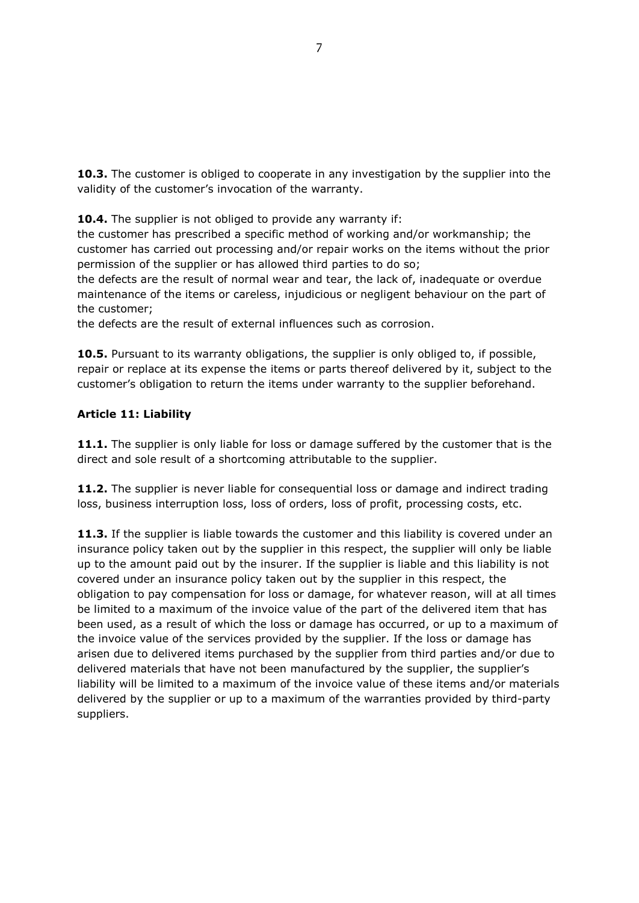**10.3.** The customer is obliged to cooperate in any investigation by the supplier into the validity of the customer's invocation of the warranty.

**10.4.** The supplier is not obliged to provide any warranty if:

the customer has prescribed a specific method of working and/or workmanship; the customer has carried out processing and/or repair works on the items without the prior permission of the supplier or has allowed third parties to do so;

the defects are the result of normal wear and tear, the lack of, inadequate or overdue maintenance of the items or careless, injudicious or negligent behaviour on the part of the customer;

the defects are the result of external influences such as corrosion.

**10.5.** Pursuant to its warranty obligations, the supplier is only obliged to, if possible, repair or replace at its expense the items or parts thereof delivered by it, subject to the customer's obligation to return the items under warranty to the supplier beforehand.

# **Article 11: Liability**

**11.1.** The supplier is only liable for loss or damage suffered by the customer that is the direct and sole result of a shortcoming attributable to the supplier.

**11.2.** The supplier is never liable for consequential loss or damage and indirect trading loss, business interruption loss, loss of orders, loss of profit, processing costs, etc.

**11.3.** If the supplier is liable towards the customer and this liability is covered under an insurance policy taken out by the supplier in this respect, the supplier will only be liable up to the amount paid out by the insurer. If the supplier is liable and this liability is not covered under an insurance policy taken out by the supplier in this respect, the obligation to pay compensation for loss or damage, for whatever reason, will at all times be limited to a maximum of the invoice value of the part of the delivered item that has been used, as a result of which the loss or damage has occurred, or up to a maximum of the invoice value of the services provided by the supplier. If the loss or damage has arisen due to delivered items purchased by the supplier from third parties and/or due to delivered materials that have not been manufactured by the supplier, the supplier's liability will be limited to a maximum of the invoice value of these items and/or materials delivered by the supplier or up to a maximum of the warranties provided by third-party suppliers.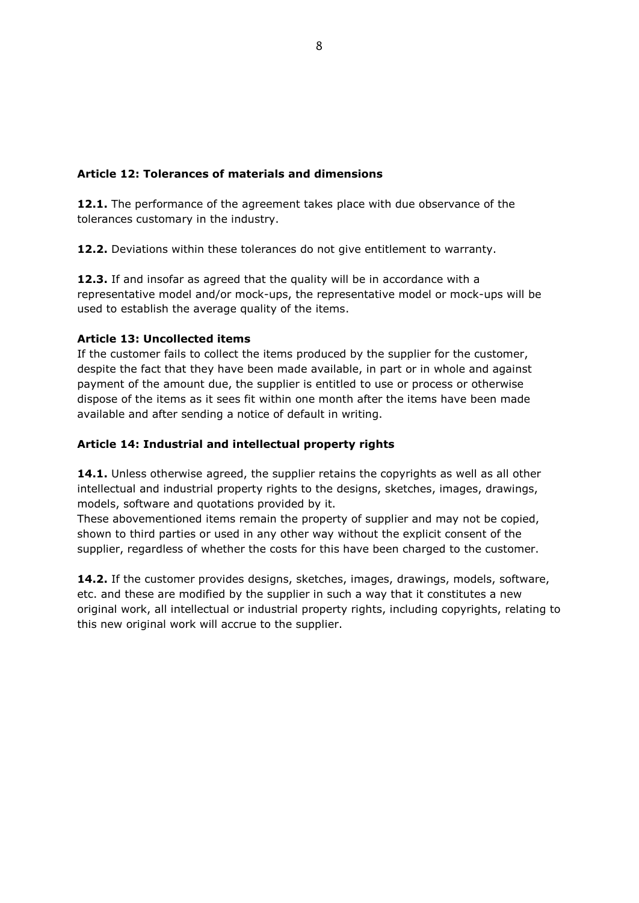# **Article 12: Tolerances of materials and dimensions**

**12.1.** The performance of the agreement takes place with due observance of the tolerances customary in the industry.

**12.2.** Deviations within these tolerances do not give entitlement to warranty.

**12.3.** If and insofar as agreed that the quality will be in accordance with a representative model and/or mock-ups, the representative model or mock-ups will be used to establish the average quality of the items.

#### **Article 13: Uncollected items**

If the customer fails to collect the items produced by the supplier for the customer, despite the fact that they have been made available, in part or in whole and against payment of the amount due, the supplier is entitled to use or process or otherwise dispose of the items as it sees fit within one month after the items have been made available and after sending a notice of default in writing.

## **Article 14: Industrial and intellectual property rights**

**14.1.** Unless otherwise agreed, the supplier retains the copyrights as well as all other intellectual and industrial property rights to the designs, sketches, images, drawings, models, software and quotations provided by it.

These abovementioned items remain the property of supplier and may not be copied, shown to third parties or used in any other way without the explicit consent of the supplier, regardless of whether the costs for this have been charged to the customer.

**14.2.** If the customer provides designs, sketches, images, drawings, models, software, etc. and these are modified by the supplier in such a way that it constitutes a new original work, all intellectual or industrial property rights, including copyrights, relating to this new original work will accrue to the supplier.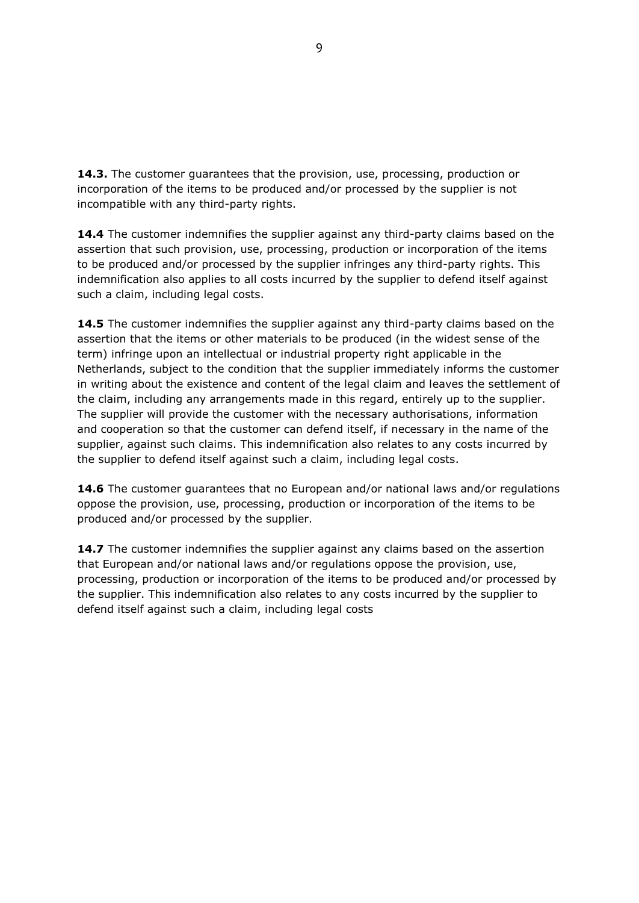**14.3.** The customer guarantees that the provision, use, processing, production or incorporation of the items to be produced and/or processed by the supplier is not incompatible with any third-party rights.

**14.4** The customer indemnifies the supplier against any third-party claims based on the assertion that such provision, use, processing, production or incorporation of the items to be produced and/or processed by the supplier infringes any third-party rights. This indemnification also applies to all costs incurred by the supplier to defend itself against such a claim, including legal costs.

**14.5** The customer indemnifies the supplier against any third-party claims based on the assertion that the items or other materials to be produced (in the widest sense of the term) infringe upon an intellectual or industrial property right applicable in the Netherlands, subject to the condition that the supplier immediately informs the customer in writing about the existence and content of the legal claim and leaves the settlement of the claim, including any arrangements made in this regard, entirely up to the supplier. The supplier will provide the customer with the necessary authorisations, information and cooperation so that the customer can defend itself, if necessary in the name of the supplier, against such claims. This indemnification also relates to any costs incurred by the supplier to defend itself against such a claim, including legal costs.

**14.6** The customer guarantees that no European and/or national laws and/or regulations oppose the provision, use, processing, production or incorporation of the items to be produced and/or processed by the supplier.

**14.7** The customer indemnifies the supplier against any claims based on the assertion that European and/or national laws and/or regulations oppose the provision, use, processing, production or incorporation of the items to be produced and/or processed by the supplier. This indemnification also relates to any costs incurred by the supplier to defend itself against such a claim, including legal costs